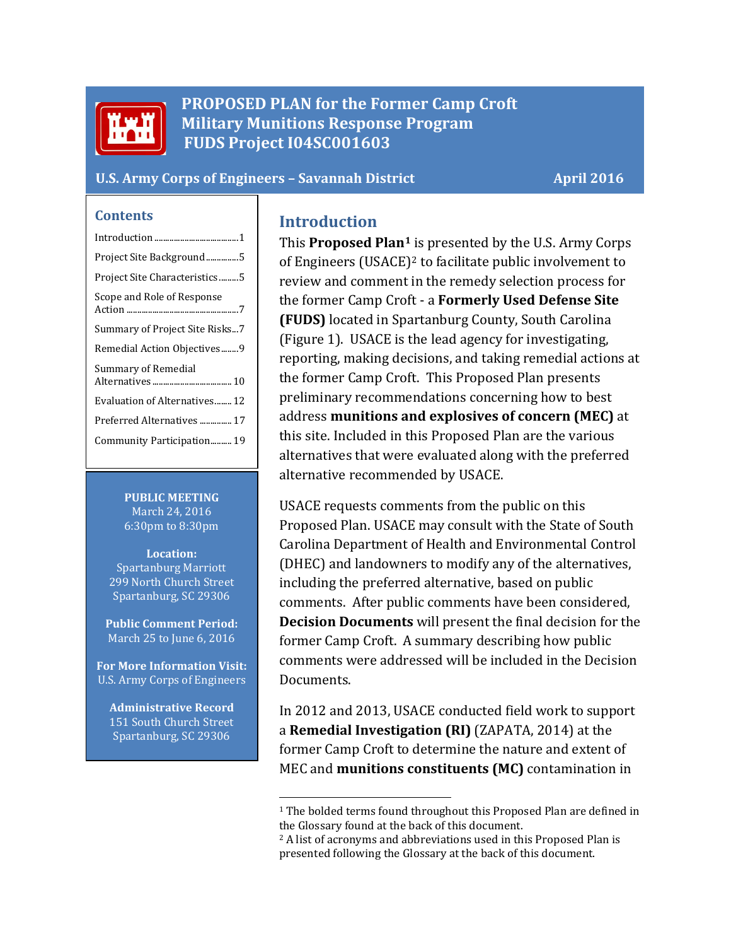

**PROPOSED PLAN for the Former Camp Croft Military Munitions Response Program FUDS Project I04SC001603**

#### **U.S. Army Corps of Engineers – Savannah District April 2016**

#### **Contents**

| Project Site Background5       |
|--------------------------------|
| Project Site Characteristics5  |
| Scope and Role of Response     |
| Summary of Project Site Risks7 |
| Remedial Action Objectives9    |
| Summary of Remedial            |
| Evaluation of Alternatives12   |
| Preferred Alternatives  17     |
| Community Participation 19     |
|                                |

**PUBLIC MEETING** March 24, 2016 6:30pm to 8:30pm

**Location:** Spartanburg Marriott 299 North Church Street Spartanburg, SC 29306

**Public Comment Period:** March 25 to June 6, 2016

**For More Information Visit:** U.S. Army Corps of Engineers

<span id="page-0-2"></span><span id="page-0-1"></span>**Administrative Record** 151 South Church Street Spartanburg, SC 29306

#### <span id="page-0-0"></span>**Introduction**

This **Proposed Pla[n1](#page-0-1)** is presented by the U.S. Army Corps of Engineers (USACE)[2](#page-0-2) to facilitate public involvement to review and comment in the remedy selection process for the former Camp Croft - a **Formerly Used Defense Site (FUDS)** located in Spartanburg County, South Carolina (Figure 1). USACE is the lead agency for investigating, reporting, making decisions, and taking remedial actions at the former Camp Croft. This Proposed Plan presents preliminary recommendations concerning how to best address **munitions and explosives of concern (MEC)** at this site. Included in this Proposed Plan are the various alternatives that were evaluated along with the preferred alternative recommended by USACE.

USACE requests comments from the public on this Proposed Plan. USACE may consult with the State of South Carolina Department of Health and Environmental Control (DHEC) and landowners to modify any of the alternatives, including the preferred alternative, based on public comments. After public comments have been considered, **Decision Documents** will present the final decision for the former Camp Croft. A summary describing how public comments were addressed will be included in the Decision Documents.

In 2012 and 2013, USACE conducted field work to support a **Remedial Investigation (RI)** (ZAPATA, 2014) at the former Camp Croft to determine the nature and extent of MEC and **munitions constituents (MC)** contamination in

<sup>&</sup>lt;sup>1</sup> The bolded terms found throughout this Proposed Plan are defined in the Glossary found at the back of this document.

<sup>&</sup>lt;sup>2</sup> A list of acronyms and abbreviations used in this Proposed Plan is presented following the Glossary at the back of this document.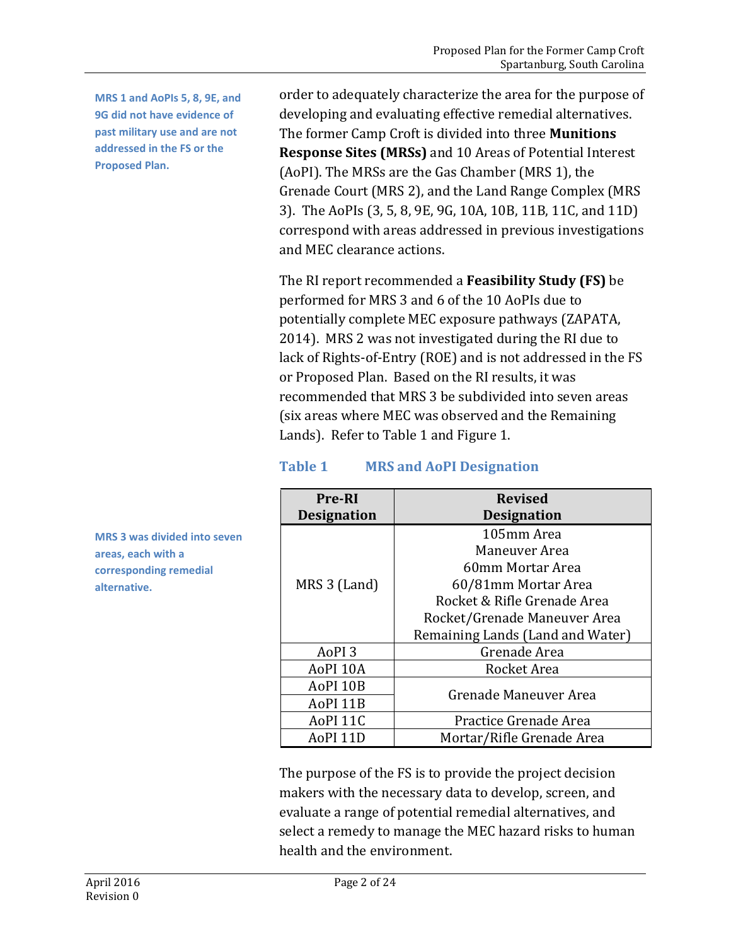**MRS 1 and AoPIs 5, 8, 9E, and 9G did not have evidence of past military use and are not addressed in the FS or the Proposed Plan.**

order to adequately characterize the area for the purpose of developing and evaluating effective remedial alternatives. The former Camp Croft is divided into three **Munitions Response Sites (MRSs)** and 10 Areas of Potential Interest (AoPI). The MRSs are the Gas Chamber (MRS 1), the Grenade Court (MRS 2), and the Land Range Complex (MRS 3). The AoPIs (3, 5, 8, 9E, 9G, 10A, 10B, 11B, 11C, and 11D) correspond with areas addressed in previous investigations and MEC clearance actions.

The RI report recommended a **Feasibility Study (FS)** be performed for MRS 3 and 6 of the 10 AoPIs due to potentially complete MEC exposure pathways (ZAPATA, 2014). MRS 2 was not investigated during the RI due to lack of Rights-of-Entry (ROE) and is not addressed in the FS or Proposed Plan. Based on the RI results, it was recommended that MRS 3 be subdivided into seven areas (six areas where MEC was observed and the Remaining Lands). Refer to Table 1 and Figure 1.

### **Table 1 MRS and AoPI Designation**

| <b>Pre-RI</b>       | <b>Revised</b>                   |  |  |
|---------------------|----------------------------------|--|--|
| <b>Designation</b>  | <b>Designation</b>               |  |  |
|                     | 105mm Area                       |  |  |
|                     | Maneuver Area                    |  |  |
|                     | 60mm Mortar Area                 |  |  |
| MRS 3 (Land)        | 60/81mm Mortar Area              |  |  |
|                     | Rocket & Rifle Grenade Area      |  |  |
|                     | Rocket/Grenade Maneuver Area     |  |  |
|                     | Remaining Lands (Land and Water) |  |  |
| AoPI <sub>3</sub>   | Grenade Area                     |  |  |
| AoPI 10A            | Rocket Area                      |  |  |
| AoPI <sub>10B</sub> |                                  |  |  |
| AoPI <sub>11B</sub> | Grenade Maneuver Area            |  |  |
| AoPI 11C            | Practice Grenade Area            |  |  |
| AoPI <sub>11D</sub> | Mortar/Rifle Grenade Area        |  |  |

The purpose of the FS is to provide the project decision makers with the necessary data to develop, screen, and evaluate a range of potential remedial alternatives, and select a remedy to manage the MEC hazard risks to human health and the environment.

**MRS 3 was divided into seven areas, each with a corresponding remedial alternative.**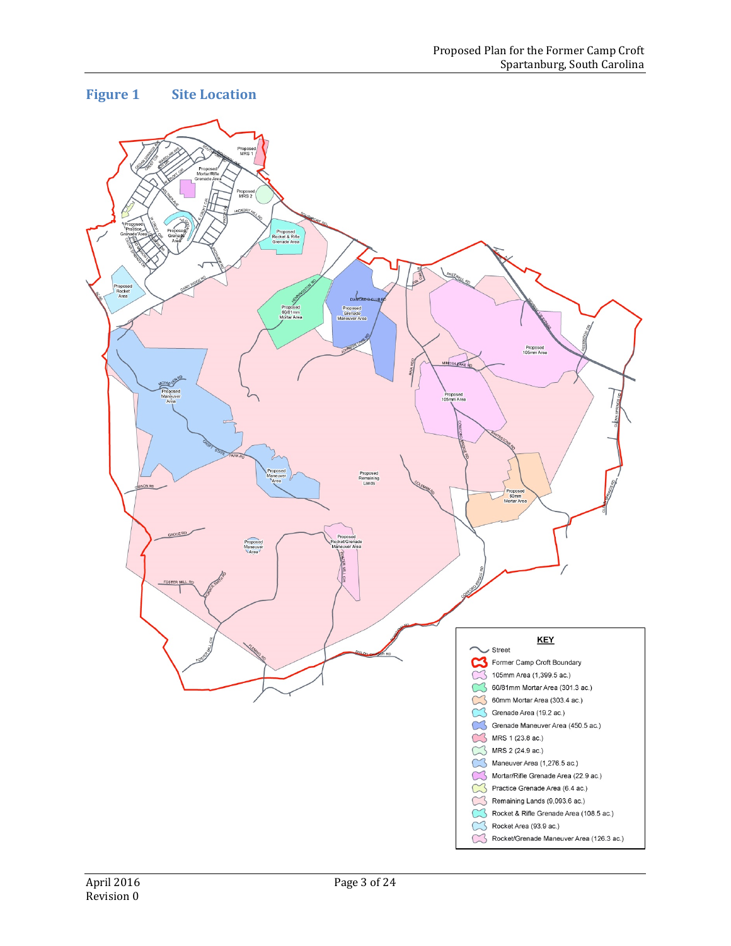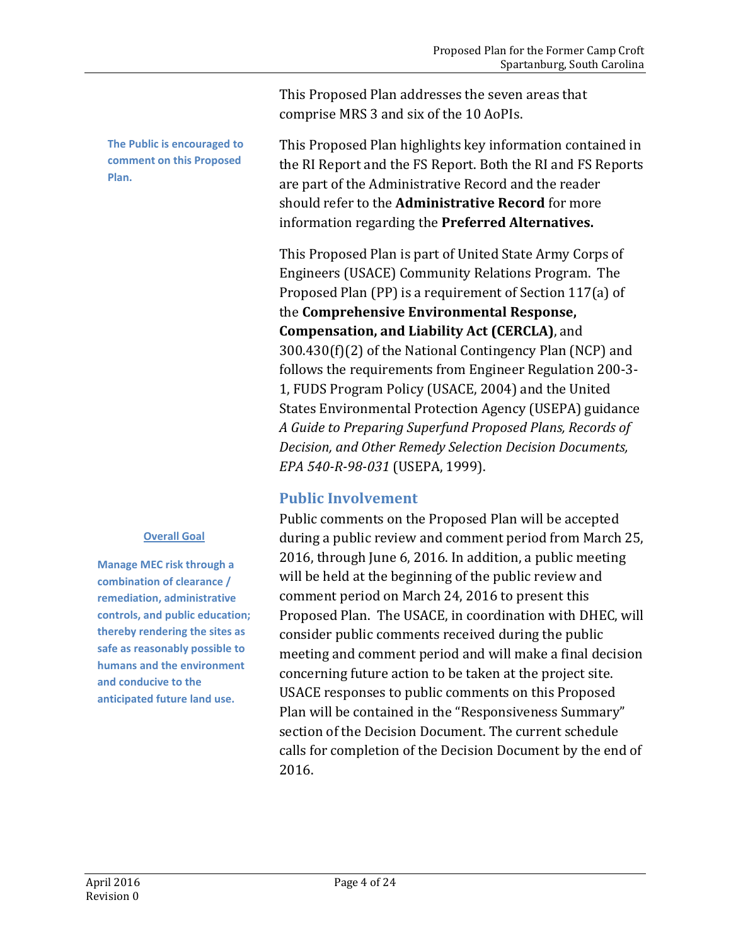**The Public is encouraged to comment on this Proposed Plan.**

#### **Overall Goal**

**Manage MEC risk through a combination of clearance / remediation, administrative controls, and public education; thereby rendering the sites as safe as reasonably possible to humans and the environment and conducive to the anticipated future land use.**

This Proposed Plan addresses the seven areas that comprise MRS 3 and six of the 10 AoPIs.

This Proposed Plan highlights key information contained in the RI Report and the FS Report. Both the RI and FS Reports are part of the Administrative Record and the reader should refer to the **Administrative Record** for more information regarding the **Preferred Alternatives.**

This Proposed Plan is part of United State Army Corps of Engineers (USACE) Community Relations Program. The Proposed Plan (PP) is a requirement of Section 117(a) of the **Comprehensive Environmental Response, Compensation, and Liability Act (CERCLA)**, and 300.430(f)(2) of the National Contingency Plan (NCP) and follows the requirements from Engineer Regulation 200-3- 1, FUDS Program Policy (USACE, 2004) and the United States Environmental Protection Agency (USEPA) guidance *A Guide to Preparing Superfund Proposed Plans, Records of Decision, and Other Remedy Selection Decision Documents, EPA 540-R-98-031* (USEPA, 1999).

### **Public Involvement**

Public comments on the Proposed Plan will be accepted during a public review and comment period from March 25, 2016, through June 6, 2016. In addition, a public meeting will be held at the beginning of the public review and comment period on March 24, 2016 to present this Proposed Plan. The USACE, in coordination with DHEC, will consider public comments received during the public meeting and comment period and will make a final decision concerning future action to be taken at the project site. USACE responses to public comments on this Proposed Plan will be contained in the "Responsiveness Summary" section of the Decision Document. The current schedule calls for completion of the Decision Document by the end of 2016.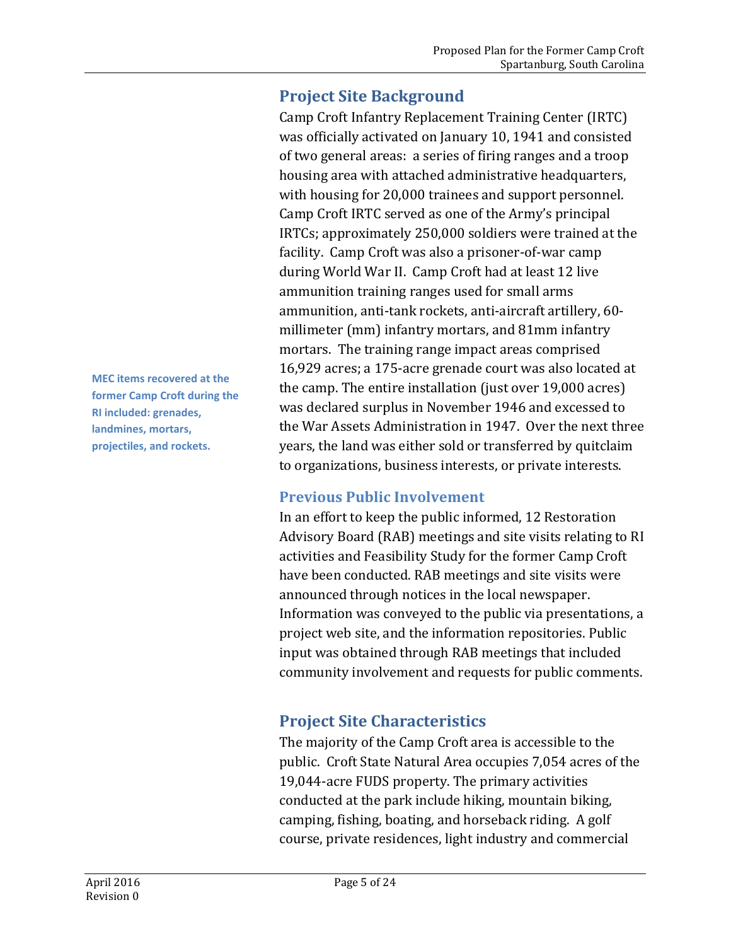## <span id="page-4-0"></span>**Project Site Background**

Camp Croft Infantry Replacement Training Center (IRTC) was officially activated on January 10, 1941 and consisted of two general areas: a series of firing ranges and a troop housing area with attached administrative headquarters, with housing for 20,000 trainees and support personnel. Camp Croft IRTC served as one of the Army's principal IRTCs; approximately 250,000 soldiers were trained at the facility. Camp Croft was also a prisoner-of-war camp during World War II. Camp Croft had at least 12 live ammunition training ranges used for small arms ammunition, anti-tank rockets, anti-aircraft artillery, 60 millimeter (mm) infantry mortars, and 81mm infantry mortars. The training range impact areas comprised 16,929 acres; a 175-acre grenade court was also located at the camp. The entire installation (just over 19,000 acres) was declared surplus in November 1946 and excessed to the War Assets Administration in 1947. Over the next three years, the land was either sold or transferred by quitclaim to organizations, business interests, or private interests.

### **Previous Public Involvement**

In an effort to keep the public informed, 12 Restoration Advisory Board (RAB) meetings and site visits relating to RI activities and Feasibility Study for the former Camp Croft have been conducted. RAB meetings and site visits were announced through notices in the local newspaper. Information was conveyed to the public via presentations, a project web site, and the information repositories. Public input was obtained through RAB meetings that included community involvement and requests for public comments.

# <span id="page-4-1"></span>**Project Site Characteristics**

The majority of the Camp Croft area is accessible to the public. Croft State Natural Area occupies 7,054 acres of the 19,044-acre FUDS property. The primary activities conducted at the park include hiking, mountain biking, camping, fishing, boating, and horseback riding. A golf course, private residences, light industry and commercial

**MEC items recovered at the former Camp Croft during the RI included: grenades, landmines, mortars, projectiles, and rockets.**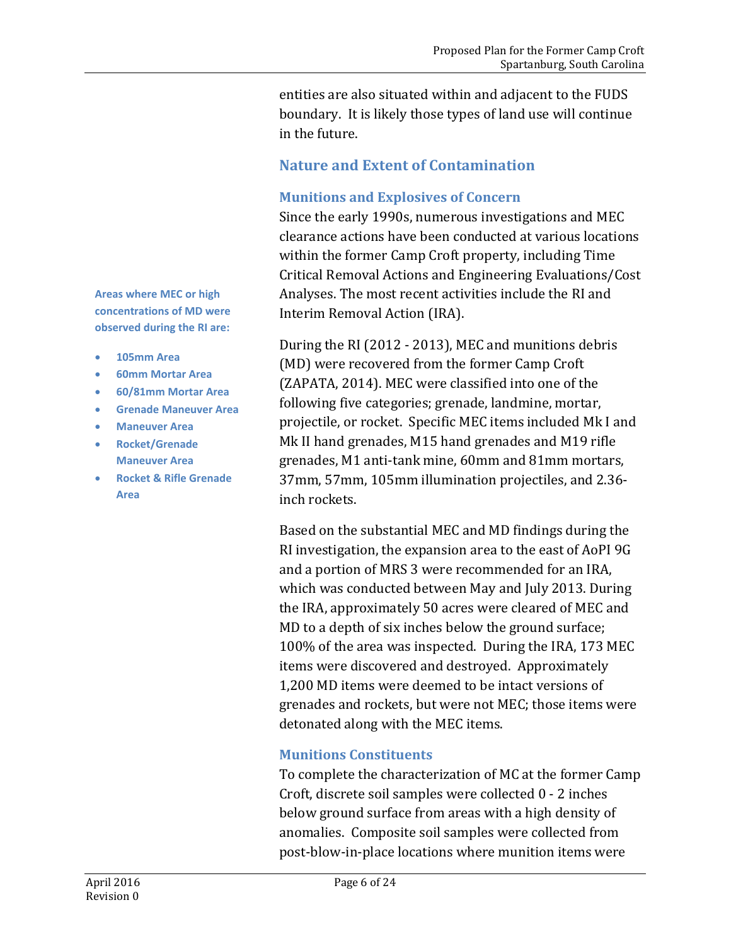entities are also situated within and adjacent to the FUDS boundary. It is likely those types of land use will continue in the future.

### **Nature and Extent of Contamination**

#### **Munitions and Explosives of Concern**

Since the early 1990s, numerous investigations and MEC clearance actions have been conducted at various locations within the former Camp Croft property, including Time Critical Removal Actions and Engineering Evaluations/Cost Analyses. The most recent activities include the RI and Interim Removal Action (IRA).

During the RI (2012 - 2013), MEC and munitions debris (MD) were recovered from the former Camp Croft (ZAPATA, 2014). MEC were classified into one of the following five categories; grenade, landmine, mortar, projectile, or rocket. Specific MEC items included Mk I and Mk II hand grenades, M15 hand grenades and M19 rifle grenades, M1 anti-tank mine, 60mm and 81mm mortars, 37mm, 57mm, 105mm illumination projectiles, and 2.36 inch rockets.

Based on the substantial MEC and MD findings during the RI investigation, the expansion area to the east of AoPI 9G and a portion of MRS 3 were recommended for an IRA, which was conducted between May and July 2013. During the IRA, approximately 50 acres were cleared of MEC and MD to a depth of six inches below the ground surface; 100% of the area was inspected. During the IRA, 173 MEC items were discovered and destroyed. Approximately 1,200 MD items were deemed to be intact versions of grenades and rockets, but were not MEC; those items were detonated along with the MEC items.

### **Munitions Constituents**

To complete the characterization of MC at the former Camp Croft, discrete soil samples were collected 0 - 2 inches below ground surface from areas with a high density of anomalies. Composite soil samples were collected from post-blow-in-place locations where munition items were

**Areas where MEC or high concentrations of MD were observed during the RI are:**

- **105mm Area**
- **60mm Mortar Area**
- **60/81mm Mortar Area**
- **Grenade Maneuver Area**
- **Maneuver Area**
- **Rocket/Grenade Maneuver Area**
- **Rocket & Rifle Grenade Area**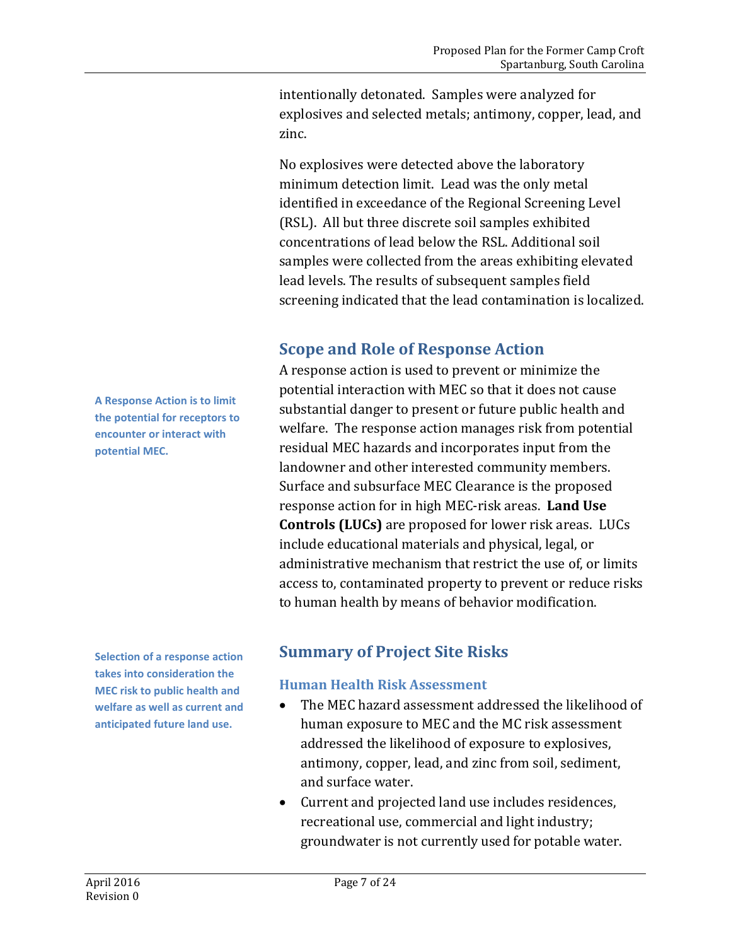intentionally detonated. Samples were analyzed for explosives and selected metals; antimony, copper, lead, and zinc.

No explosives were detected above the laboratory minimum detection limit. Lead was the only metal identified in exceedance of the Regional Screening Level (RSL). All but three discrete soil samples exhibited concentrations of lead below the RSL. Additional soil samples were collected from the areas exhibiting elevated lead levels. The results of subsequent samples field screening indicated that the lead contamination is localized.

# <span id="page-6-0"></span>**Scope and Role of Response Action**

A response action is used to prevent or minimize the potential interaction with MEC so that it does not cause substantial danger to present or future public health and welfare. The response action manages risk from potential residual MEC hazards and incorporates input from the landowner and other interested community members. Surface and subsurface MEC Clearance is the proposed response action for in high MEC-risk areas. **Land Use Controls (LUCs)** are proposed for lower risk areas. LUCs include educational materials and physical, legal, or administrative mechanism that restrict the use of, or limits access to, contaminated property to prevent or reduce risks to human health by means of behavior modification.

**Selection of a response action takes into consideration the MEC risk to public health and welfare as well as current and anticipated future land use.**

# <span id="page-6-1"></span>**Summary of Project Site Risks**

### **Human Health Risk Assessment**

- The MEC hazard assessment addressed the likelihood of human exposure to MEC and the MC risk assessment addressed the likelihood of exposure to explosives, antimony, copper, lead, and zinc from soil, sediment, and surface water.
- Current and projected land use includes residences, recreational use, commercial and light industry; groundwater is not currently used for potable water.

**A Response Action is to limit the potential for receptors to encounter or interact with potential MEC.**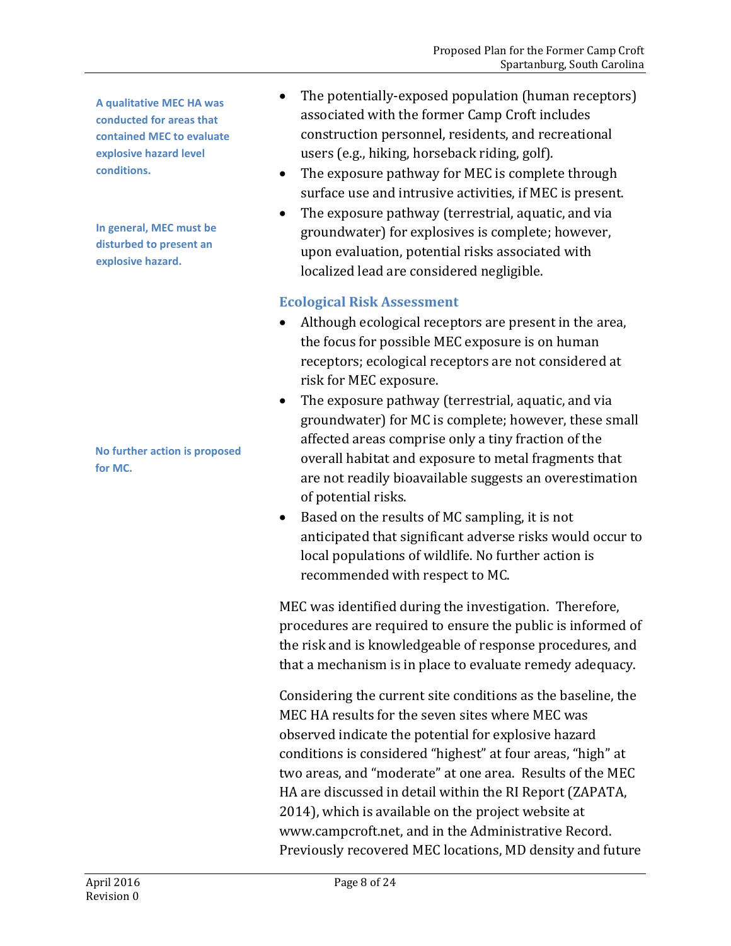**A qualitative MEC HA was conducted for areas that contained MEC to evaluate explosive hazard level conditions.**

**In general, MEC must be disturbed to present an explosive hazard.**

**No further action is proposed for MC.**

- The potentially-exposed population (human receptors) associated with the former Camp Croft includes construction personnel, residents, and recreational users (e.g., hiking, horseback riding, golf).
- The exposure pathway for MEC is complete through surface use and intrusive activities, if MEC is present.
- The exposure pathway (terrestrial, aquatic, and via groundwater) for explosives is complete; however, upon evaluation, potential risks associated with localized lead are considered negligible.

### **Ecological Risk Assessment**

- Although ecological receptors are present in the area, the focus for possible MEC exposure is on human receptors; ecological receptors are not considered at risk for MEC exposure.
- The exposure pathway (terrestrial, aquatic, and via groundwater) for MC is complete; however, these small affected areas comprise only a tiny fraction of the overall habitat and exposure to metal fragments that are not readily bioavailable suggests an overestimation of potential risks.
- Based on the results of MC sampling, it is not anticipated that significant adverse risks would occur to local populations of wildlife. No further action is recommended with respect to MC.

MEC was identified during the investigation. Therefore, procedures are required to ensure the public is informed of the risk and is knowledgeable of response procedures, and that a mechanism is in place to evaluate remedy adequacy.

Considering the current site conditions as the baseline, the MEC HA results for the seven sites where MEC was observed indicate the potential for explosive hazard conditions is considered "highest" at four areas, "high" at two areas, and "moderate" at one area. Results of the MEC HA are discussed in detail within the RI Report (ZAPATA, 2014), which is available on the project website at www.campcroft.net, and in the Administrative Record. Previously recovered MEC locations, MD density and future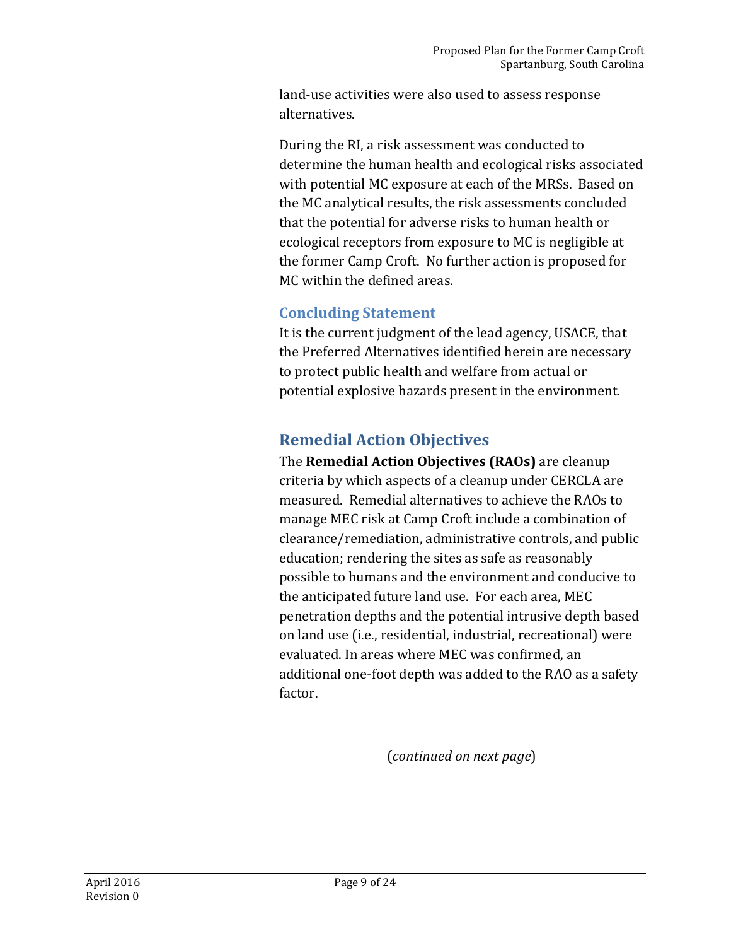land-use activities were also used to assess response alternatives.

During the RI, a risk assessment was conducted to determine the human health and ecological risks associated with potential MC exposure at each of the MRSs. Based on the MC analytical results, the risk assessments concluded that the potential for adverse risks to human health or ecological receptors from exposure to MC is negligible at the former Camp Croft. No further action is proposed for MC within the defined areas.

### **Concluding Statement**

It is the current judgment of the lead agency, USACE, that the Preferred Alternatives identified herein are necessary to protect public health and welfare from actual or potential explosive hazards present in the environment.

## <span id="page-8-0"></span>**Remedial Action Objectives**

The **Remedial Action Objectives (RAOs)** are cleanup criteria by which aspects of a cleanup under CERCLA are measured. Remedial alternatives to achieve the RAOs to manage MEC risk at Camp Croft include a combination of clearance/remediation, administrative controls, and public education; rendering the sites as safe as reasonably possible to humans and the environment and conducive to the anticipated future land use. For each area, MEC penetration depths and the potential intrusive depth based on land use (i.e., residential, industrial, recreational) were evaluated. In areas where MEC was confirmed, an additional one-foot depth was added to the RAO as a safety factor.

(*continued on next page*)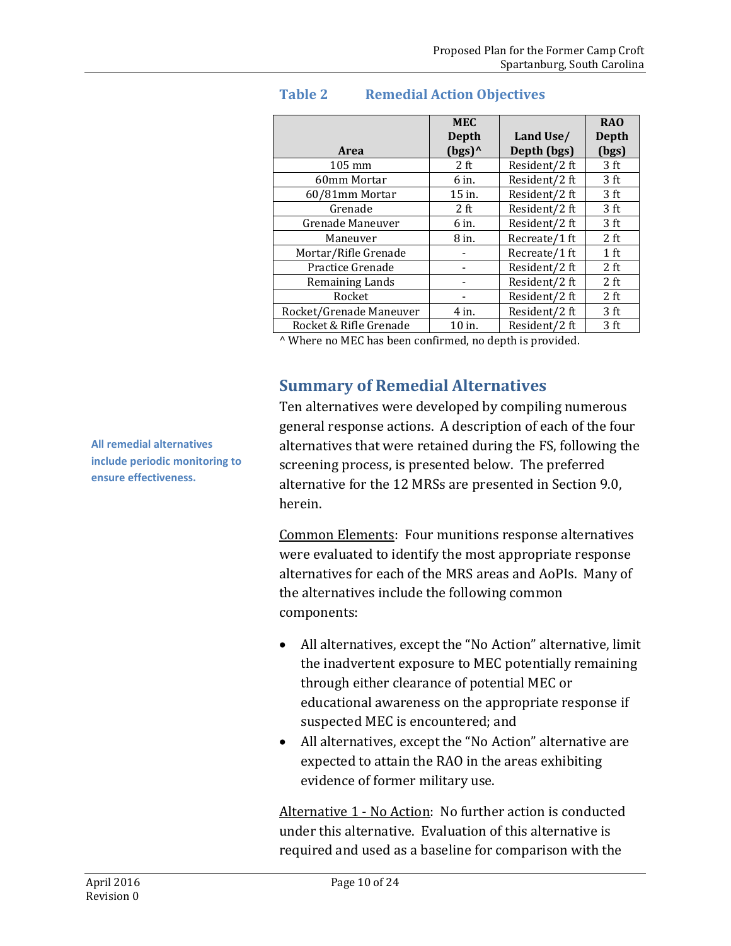| <b>Area</b>             | <b>MEC</b><br>Depth<br>$(bgs)^0$ | Land Use/<br>Depth (bgs) | R <sub>A</sub> O<br><b>Depth</b><br>(bgs) |
|-------------------------|----------------------------------|--------------------------|-------------------------------------------|
| $105 \text{ mm}$        | 2 ft                             | Resident/2 ft            | 3 <sub>ft</sub>                           |
| 60mm Mortar             | 6 in.                            | Resident/2 ft            | 3 <sub>ft</sub>                           |
| 60/81mm Mortar          | $15$ in.                         | Resident/2 ft            | 3 ft                                      |
| Grenade                 | 2 ft                             | Resident/2 ft            | 3 <sub>ft</sub>                           |
| Grenade Maneuver        | 6 in.                            | Resident/2 ft            | 3 <sub>ft</sub>                           |
| Maneuver                | 8 in.                            | Recreate/1 ft            | 2 ft                                      |
| Mortar/Rifle Grenade    |                                  | Recreate/1 ft            | 1 <sub>ft</sub>                           |
| Practice Grenade        |                                  | Resident/2 ft            | 2 ft                                      |
| Remaining Lands         |                                  | Resident/2 ft            | 2 ft                                      |
| Rocket                  |                                  | Resident/2 ft            | 2 ft                                      |
| Rocket/Grenade Maneuver | 4 in.                            | Resident/2 ft            | 3 <sub>ft</sub>                           |
| Rocket & Rifle Grenade  | 10 in.                           | Resident/2 ft            | 3 ft                                      |

### **Table 2 Remedial Action Objectives**

<span id="page-9-0"></span>^ Where no MEC has been confirmed, no depth is provided.

## **Summary of Remedial Alternatives**

Ten alternatives were developed by compiling numerous general response actions. A description of each of the four alternatives that were retained during the FS, following the screening process, is presented below. The preferred alternative for the 12 MRSs are presented in Section 9.0, herein.

Common Elements: Four munitions response alternatives were evaluated to identify the most appropriate response alternatives for each of the MRS areas and AoPIs. Many of the alternatives include the following common components:

- All alternatives, except the "No Action" alternative, limit the inadvertent exposure to MEC potentially remaining through either clearance of potential MEC or educational awareness on the appropriate response if suspected MEC is encountered; and
- All alternatives, except the "No Action" alternative are expected to attain the RAO in the areas exhibiting evidence of former military use.

Alternative 1 - No Action: No further action is conducted under this alternative. Evaluation of this alternative is required and used as a baseline for comparison with the

**All remedial alternatives include periodic monitoring to ensure effectiveness.**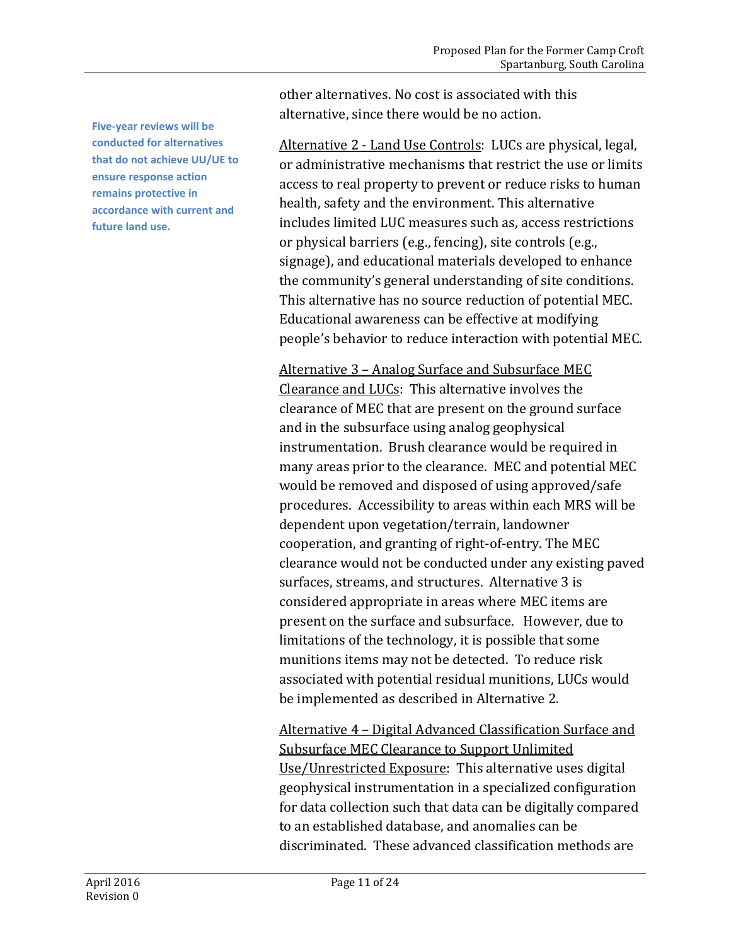**Five-year reviews will be conducted for alternatives that do not achieve UU/UE to ensure response action remains protective in accordance with current and future land use.**

other alternatives. No cost is associated with this alternative, since there would be no action.

Alternative 2 - Land Use Controls: LUCs are physical, legal, or administrative mechanisms that restrict the use or limits access to real property to prevent or reduce risks to human health, safety and the environment. This alternative includes limited LUC measures such as, access restrictions or physical barriers (e.g., fencing), site controls (e.g., signage), and educational materials developed to enhance the community's general understanding of site conditions. This alternative has no source reduction of potential MEC. Educational awareness can be effective at modifying people's behavior to reduce interaction with potential MEC.

Alternative 3 – Analog Surface and Subsurface MEC Clearance and LUCs: This alternative involves the clearance of MEC that are present on the ground surface and in the subsurface using analog geophysical instrumentation. Brush clearance would be required in many areas prior to the clearance. MEC and potential MEC would be removed and disposed of using approved/safe procedures. Accessibility to areas within each MRS will be dependent upon vegetation/terrain, landowner cooperation, and granting of right-of-entry. The MEC clearance would not be conducted under any existing paved surfaces, streams, and structures. Alternative 3 is considered appropriate in areas where MEC items are present on the surface and subsurface. However, due to limitations of the technology, it is possible that some munitions items may not be detected. To reduce risk associated with potential residual munitions, LUCs would be implemented as described in Alternative 2.

Alternative 4 – Digital Advanced Classification Surface and Subsurface MEC Clearance to Support Unlimited Use/Unrestricted Exposure: This alternative uses digital geophysical instrumentation in a specialized configuration for data collection such that data can be digitally compared to an established database, and anomalies can be discriminated. These advanced classification methods are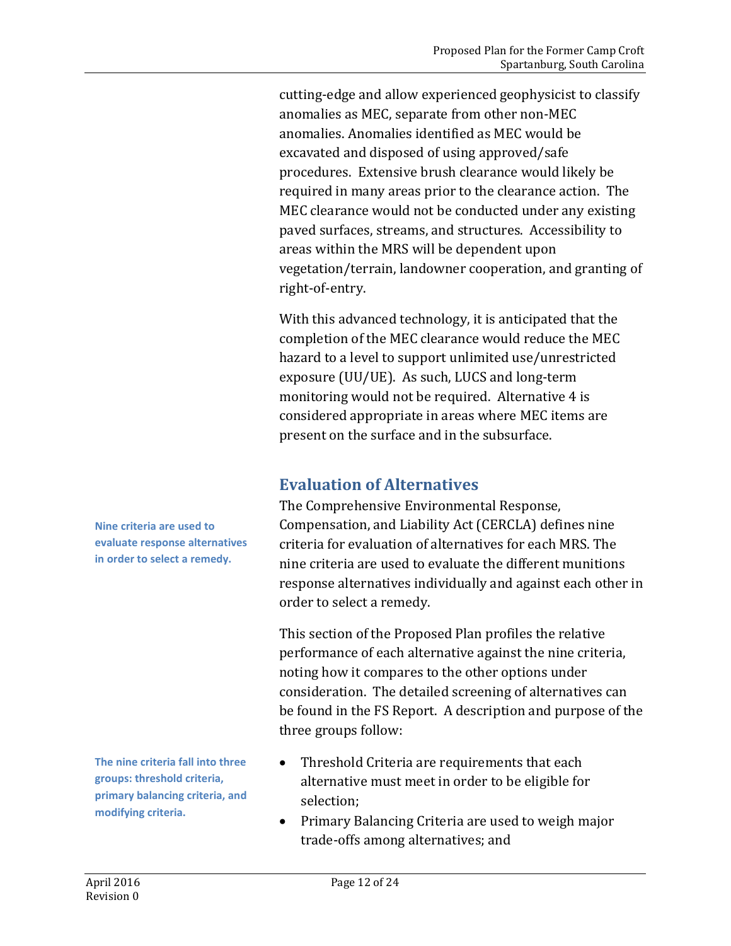cutting-edge and allow experienced geophysicist to classify anomalies as MEC, separate from other non-MEC anomalies. Anomalies identified as MEC would be excavated and disposed of using approved/safe procedures. Extensive brush clearance would likely be required in many areas prior to the clearance action. The MEC clearance would not be conducted under any existing paved surfaces, streams, and structures. Accessibility to areas within the MRS will be dependent upon vegetation/terrain, landowner cooperation, and granting of right-of-entry.

With this advanced technology, it is anticipated that the completion of the MEC clearance would reduce the MEC hazard to a level to support unlimited use/unrestricted exposure (UU/UE). As such, LUCS and long-term monitoring would not be required. Alternative 4 is considered appropriate in areas where MEC items are present on the surface and in the subsurface.

## <span id="page-11-0"></span>**Evaluation of Alternatives**

The Comprehensive Environmental Response, Compensation, and Liability Act (CERCLA) defines nine criteria for evaluation of alternatives for each MRS. The nine criteria are used to evaluate the different munitions response alternatives individually and against each other in order to select a remedy.

This section of the Proposed Plan profiles the relative performance of each alternative against the nine criteria, noting how it compares to the other options under consideration. The detailed screening of alternatives can be found in the FS Report. A description and purpose of the three groups follow:

- Threshold Criteria are requirements that each alternative must meet in order to be eligible for selection;
- Primary Balancing Criteria are used to weigh major trade-offs among alternatives; and

**Nine criteria are used to evaluate response alternatives in order to select a remedy.**

**The nine criteria fall into three groups: threshold criteria, primary balancing criteria, and modifying criteria.**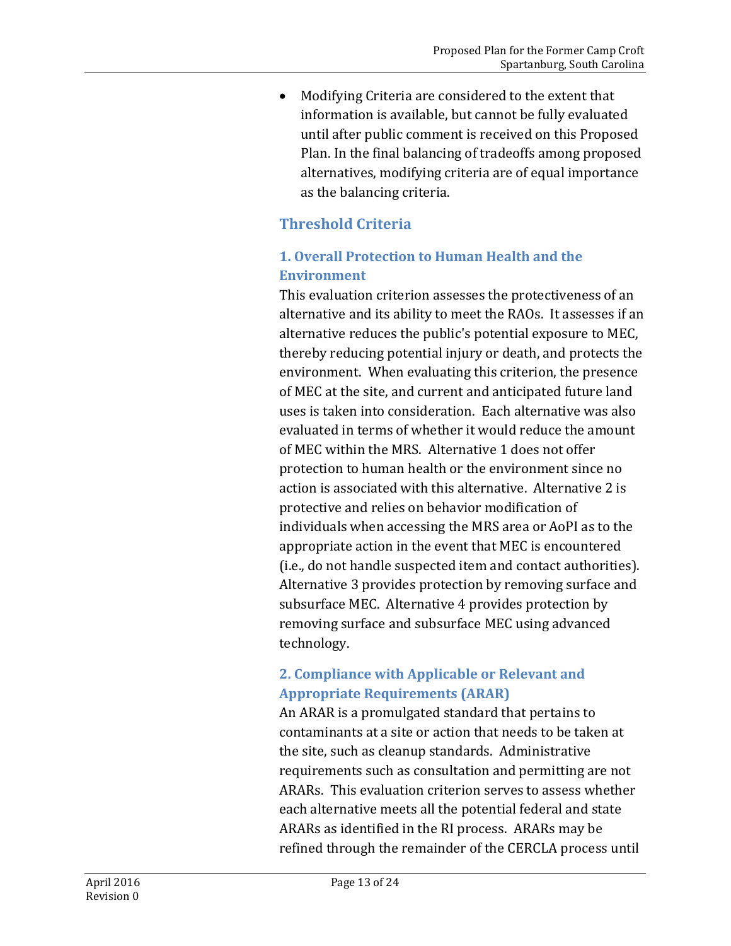• Modifying Criteria are considered to the extent that information is available, but cannot be fully evaluated until after public comment is received on this Proposed Plan. In the final balancing of tradeoffs among proposed alternatives, modifying criteria are of equal importance as the balancing criteria.

## **Threshold Criteria**

### **1. Overall Protection to Human Health and the Environment**

This evaluation criterion assesses the protectiveness of an alternative and its ability to meet the RAOs. It assesses if an alternative reduces the public's potential exposure to MEC, thereby reducing potential injury or death, and protects the environment. When evaluating this criterion, the presence of MEC at the site, and current and anticipated future land uses is taken into consideration. Each alternative was also evaluated in terms of whether it would reduce the amount of MEC within the MRS. Alternative 1 does not offer protection to human health or the environment since no action is associated with this alternative. Alternative 2 is protective and relies on behavior modification of individuals when accessing the MRS area or AoPI as to the appropriate action in the event that MEC is encountered (i.e., do not handle suspected item and contact authorities). Alternative 3 provides protection by removing surface and subsurface MEC. Alternative 4 provides protection by removing surface and subsurface MEC using advanced technology.

### **2. Compliance with Applicable or Relevant and Appropriate Requirements (ARAR)**

An ARAR is a promulgated standard that pertains to contaminants at a site or action that needs to be taken at the site, such as cleanup standards. Administrative requirements such as consultation and permitting are not ARARs. This evaluation criterion serves to assess whether each alternative meets all the potential federal and state ARARs as identified in the RI process. ARARs may be refined through the remainder of the CERCLA process until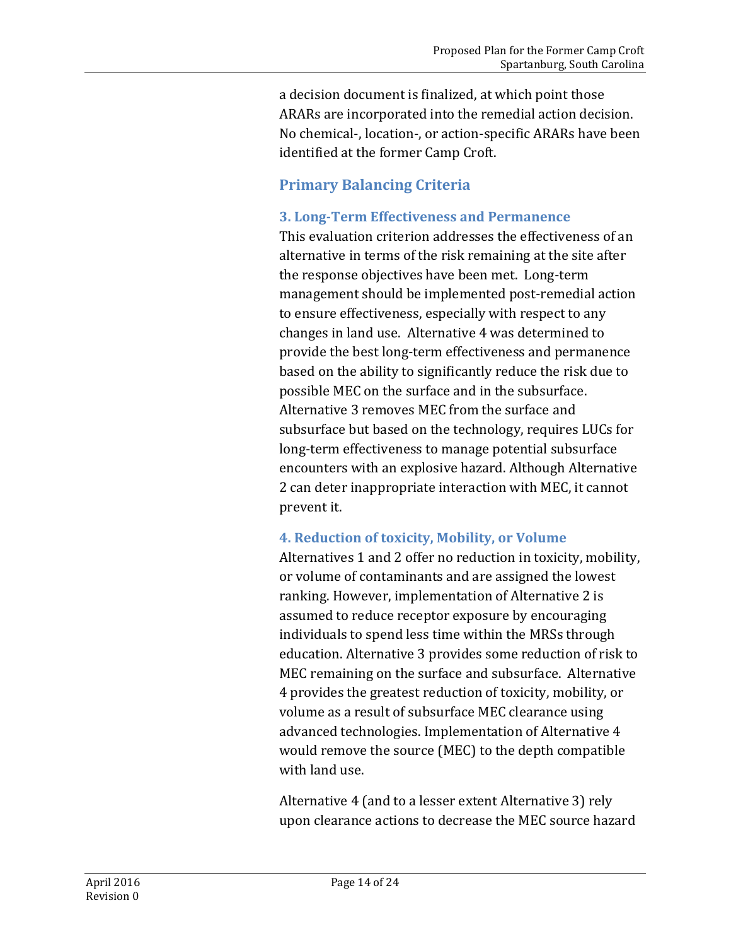a decision document is finalized, at which point those ARARs are incorporated into the remedial action decision. No chemical-, location-, or action-specific ARARs have been identified at the former Camp Croft.

### **Primary Balancing Criteria**

#### **3. Long-Term Effectiveness and Permanence**

This evaluation criterion addresses the effectiveness of an alternative in terms of the risk remaining at the site after the response objectives have been met. Long-term management should be implemented post-remedial action to ensure effectiveness, especially with respect to any changes in land use. Alternative 4 was determined to provide the best long-term effectiveness and permanence based on the ability to significantly reduce the risk due to possible MEC on the surface and in the subsurface. Alternative 3 removes MEC from the surface and subsurface but based on the technology, requires LUCs for long-term effectiveness to manage potential subsurface encounters with an explosive hazard. Although Alternative 2 can deter inappropriate interaction with MEC, it cannot prevent it.

### **4. Reduction of toxicity, Mobility, or Volume**

Alternatives 1 and 2 offer no reduction in toxicity, mobility, or volume of contaminants and are assigned the lowest ranking. However, implementation of Alternative 2 is assumed to reduce receptor exposure by encouraging individuals to spend less time within the MRSs through education. Alternative 3 provides some reduction of risk to MEC remaining on the surface and subsurface. Alternative 4 provides the greatest reduction of toxicity, mobility, or volume as a result of subsurface MEC clearance using advanced technologies. Implementation of Alternative 4 would remove the source (MEC) to the depth compatible with land use.

Alternative 4 (and to a lesser extent Alternative 3) rely upon clearance actions to decrease the MEC source hazard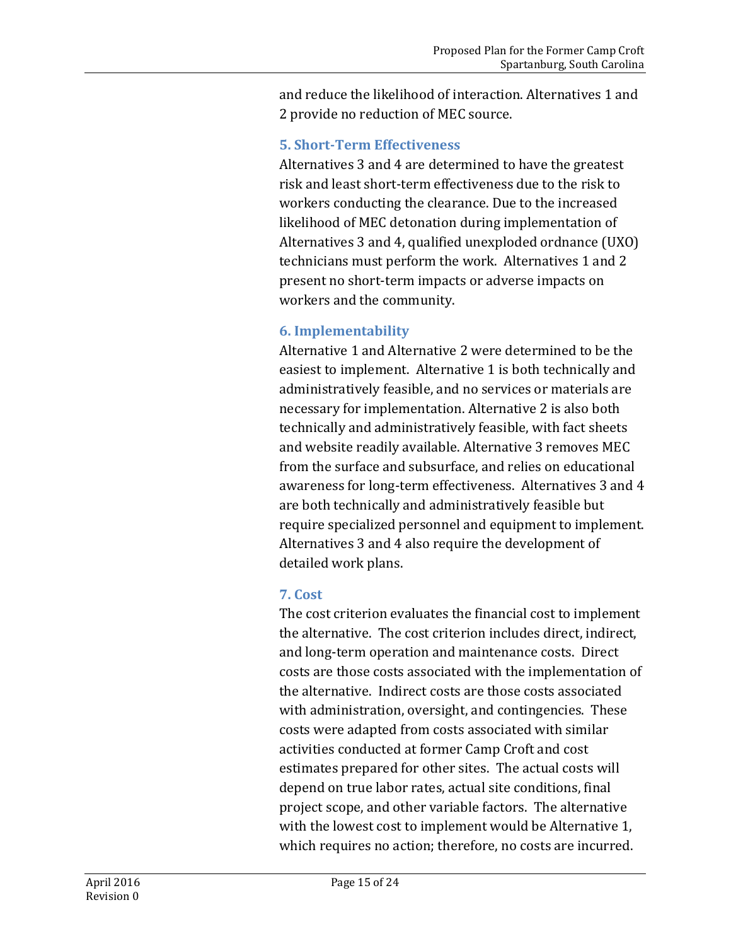and reduce the likelihood of interaction. Alternatives 1 and 2 provide no reduction of MEC source.

#### **5. Short-Term Effectiveness**

Alternatives 3 and 4 are determined to have the greatest risk and least short-term effectiveness due to the risk to workers conducting the clearance. Due to the increased likelihood of MEC detonation during implementation of Alternatives 3 and 4, qualified unexploded ordnance (UXO) technicians must perform the work. Alternatives 1 and 2 present no short-term impacts or adverse impacts on workers and the community.

### **6. Implementability**

Alternative 1 and Alternative 2 were determined to be the easiest to implement. Alternative 1 is both technically and administratively feasible, and no services or materials are necessary for implementation. Alternative 2 is also both technically and administratively feasible, with fact sheets and website readily available. Alternative 3 removes MEC from the surface and subsurface, and relies on educational awareness for long-term effectiveness. Alternatives 3 and 4 are both technically and administratively feasible but require specialized personnel and equipment to implement. Alternatives 3 and 4 also require the development of detailed work plans.

### **7. Cost**

The cost criterion evaluates the financial cost to implement the alternative. The cost criterion includes direct, indirect, and long-term operation and maintenance costs. Direct costs are those costs associated with the implementation of the alternative. Indirect costs are those costs associated with administration, oversight, and contingencies. These costs were adapted from costs associated with similar activities conducted at former Camp Croft and cost estimates prepared for other sites. The actual costs will depend on true labor rates, actual site conditions, final project scope, and other variable factors. The alternative with the lowest cost to implement would be Alternative 1, which requires no action; therefore, no costs are incurred.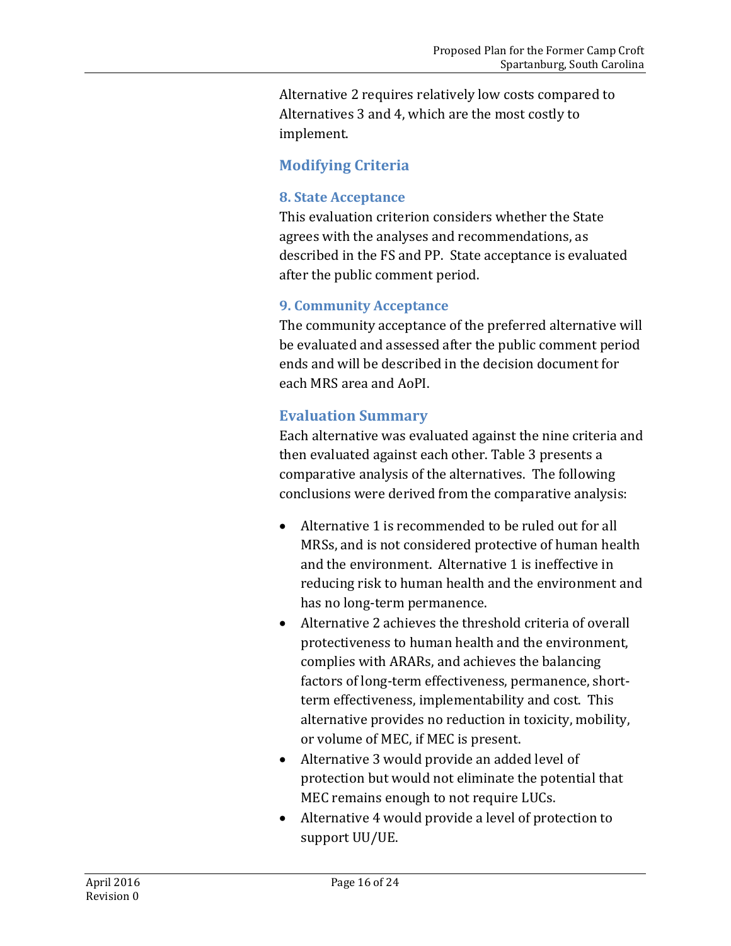Alternative 2 requires relatively low costs compared to Alternatives 3 and 4, which are the most costly to implement.

### **Modifying Criteria**

#### **8. State Acceptance**

This evaluation criterion considers whether the State agrees with the analyses and recommendations, as described in the FS and PP. State acceptance is evaluated after the public comment period.

#### **9. Community Acceptance**

The community acceptance of the preferred alternative will be evaluated and assessed after the public comment period ends and will be described in the decision document for each MRS area and AoPI.

### **Evaluation Summary**

Each alternative was evaluated against the nine criteria and then evaluated against each other. Table 3 presents a comparative analysis of the alternatives. The following conclusions were derived from the comparative analysis:

- Alternative 1 is recommended to be ruled out for all MRSs, and is not considered protective of human health and the environment. Alternative 1 is ineffective in reducing risk to human health and the environment and has no long-term permanence.
- Alternative 2 achieves the threshold criteria of overall protectiveness to human health and the environment, complies with ARARs, and achieves the balancing factors of long-term effectiveness, permanence, shortterm effectiveness, implementability and cost. This alternative provides no reduction in toxicity, mobility, or volume of MEC, if MEC is present.
- Alternative 3 would provide an added level of protection but would not eliminate the potential that MEC remains enough to not require LUCs.
- Alternative 4 would provide a level of protection to support UU/UE.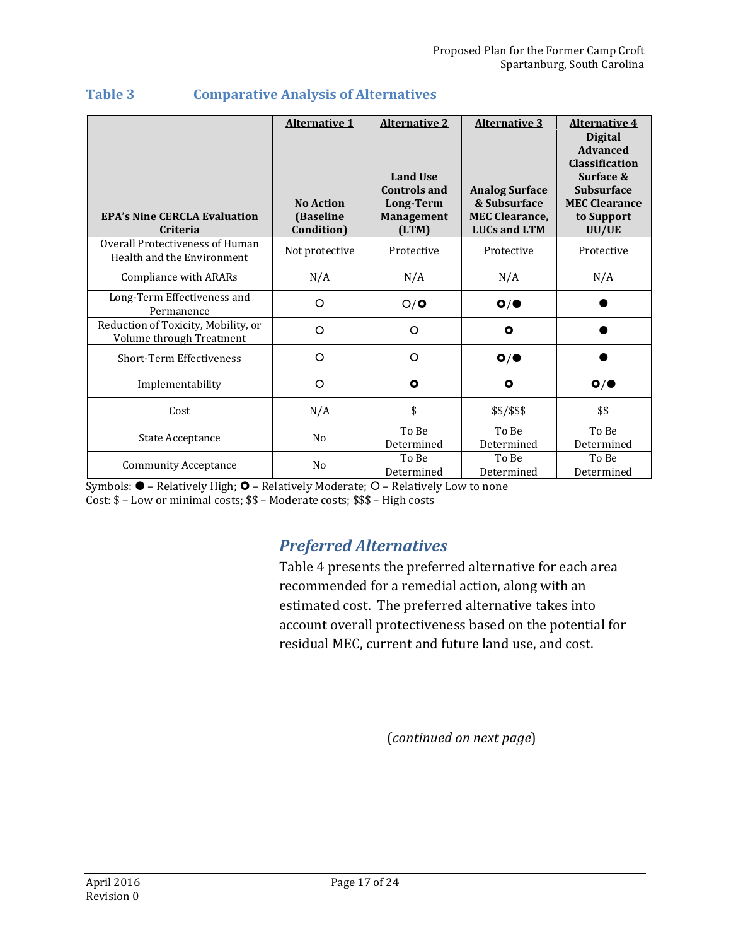| <b>EPA's Nine CERCLA Evaluation</b><br><b>Criteria</b>          | <b>Alternative 1</b><br><b>No Action</b><br>(Baseline<br>Condition) | <b>Alternative 2</b><br><b>Land Use</b><br><b>Controls and</b><br><b>Long-Term</b><br><b>Management</b><br>(LTM) | <b>Alternative 3</b><br><b>Analog Surface</b><br>& Subsurface<br><b>MEC Clearance,</b><br><b>LUCs and LTM</b> | <b>Alternative 4</b><br><b>Digital</b><br><b>Advanced</b><br><b>Classification</b><br>Surface &<br><b>Subsurface</b><br><b>MEC Clearance</b><br>to Support<br>UU/UE |
|-----------------------------------------------------------------|---------------------------------------------------------------------|------------------------------------------------------------------------------------------------------------------|---------------------------------------------------------------------------------------------------------------|---------------------------------------------------------------------------------------------------------------------------------------------------------------------|
| Overall Protectiveness of Human<br>Health and the Environment   | Not protective                                                      | Protective                                                                                                       | Protective                                                                                                    | Protective                                                                                                                                                          |
| Compliance with ARARs                                           | N/A                                                                 | N/A                                                                                                              | N/A                                                                                                           | N/A                                                                                                                                                                 |
| Long-Term Effectiveness and<br>Permanence                       | O                                                                   | O/O                                                                                                              | O/                                                                                                            |                                                                                                                                                                     |
| Reduction of Toxicity, Mobility, or<br>Volume through Treatment | O                                                                   | O                                                                                                                | $\bullet$                                                                                                     |                                                                                                                                                                     |
| <b>Short-Term Effectiveness</b>                                 | O                                                                   | $\circ$                                                                                                          | O/                                                                                                            |                                                                                                                                                                     |
| Implementability                                                | O                                                                   | $\bullet$                                                                                                        | $\mathbf{o}$                                                                                                  | O/                                                                                                                                                                  |
| Cost                                                            | N/A                                                                 | \$                                                                                                               | \$\$/\$\$\$                                                                                                   | \$\$                                                                                                                                                                |
| State Acceptance                                                | No                                                                  | To Be<br>Determined                                                                                              | To Be<br>Determined                                                                                           | To Be<br>Determined                                                                                                                                                 |
| <b>Community Acceptance</b>                                     | N <sub>0</sub>                                                      | To Be<br>Determined                                                                                              | To Be<br>Determined                                                                                           | To Be<br>Determined                                                                                                                                                 |

#### **Table 3 Comparative Analysis of Alternatives**

Symbols:  $\bullet$  – Relatively High;  $\bullet$  – Relatively Moderate;  $\circ$  – Relatively Low to none Cost: \$ – Low or minimal costs; \$\$ – Moderate costs; \$\$\$ – High costs

# <span id="page-16-0"></span>*Preferred Alternatives*

Table 4 presents the preferred alternative for each area recommended for a remedial action, along with an estimated cost. The preferred alternative takes into account overall protectiveness based on the potential for residual MEC, current and future land use, and cost.

(*continued on next page*)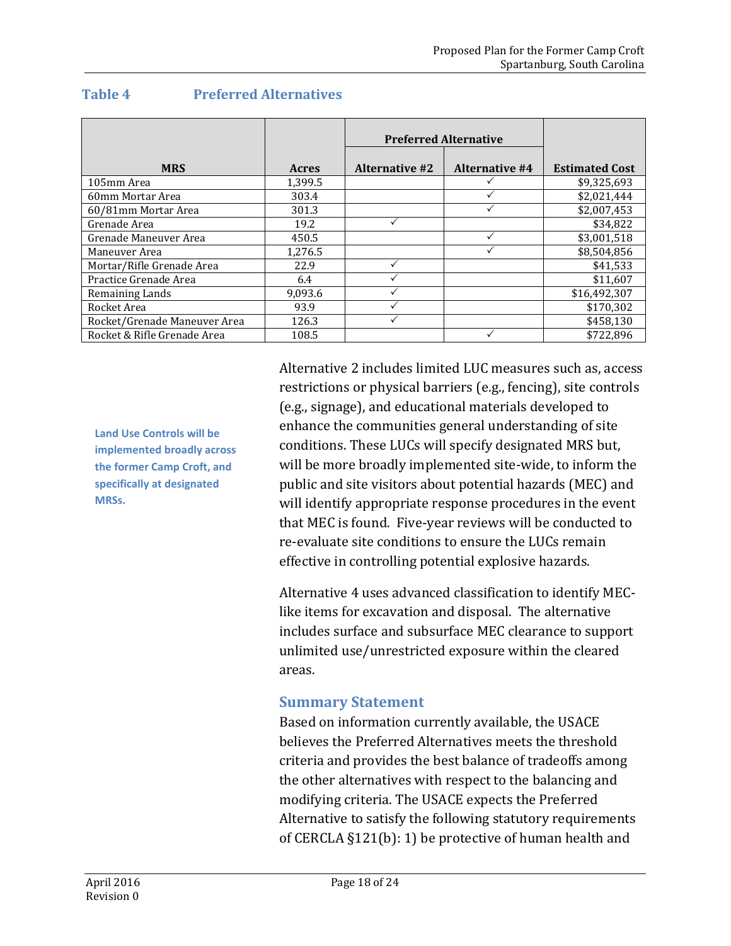|                              |              | <b>Preferred Alternative</b> |                       |                       |
|------------------------------|--------------|------------------------------|-----------------------|-----------------------|
| <b>MRS</b>                   | <b>Acres</b> | <b>Alternative #2</b>        | <b>Alternative #4</b> | <b>Estimated Cost</b> |
| 105mm Area                   | 1,399.5      |                              |                       | \$9,325,693           |
| 60mm Mortar Area             | 303.4        |                              |                       | \$2,021,444           |
| 60/81mm Mortar Area          | 301.3        |                              |                       | \$2,007,453           |
| Grenade Area                 | 19.2         |                              |                       | \$34,822              |
| Grenade Maneuver Area        | 450.5        |                              |                       | \$3,001,518           |
| Maneuver Area                | 1,276.5      |                              |                       | \$8,504,856           |
| Mortar/Rifle Grenade Area    | 22.9         |                              |                       | \$41,533              |
| Practice Grenade Area        | 6.4          |                              |                       | \$11,607              |
| Remaining Lands              | 9.093.6      |                              |                       | \$16,492,307          |
| Rocket Area                  | 93.9         |                              |                       | \$170,302             |
| Rocket/Grenade Maneuver Area | 126.3        |                              |                       | \$458,130             |
| Rocket & Rifle Grenade Area  | 108.5        |                              |                       | \$722,896             |

#### **Table 4 Preferred Alternatives**

**Land Use Controls will be implemented broadly across the former Camp Croft, and specifically at designated MRSs.**

Alternative 2 includes limited LUC measures such as, access restrictions or physical barriers (e.g., fencing), site controls (e.g., signage), and educational materials developed to enhance the communities general understanding of site conditions. These LUCs will specify designated MRS but, will be more broadly implemented site-wide, to inform the public and site visitors about potential hazards (MEC) and will identify appropriate response procedures in the event that MEC is found. Five-year reviews will be conducted to re-evaluate site conditions to ensure the LUCs remain effective in controlling potential explosive hazards.

Alternative 4 uses advanced classification to identify MEClike items for excavation and disposal. The alternative includes surface and subsurface MEC clearance to support unlimited use/unrestricted exposure within the cleared areas.

### **Summary Statement**

Based on information currently available, the USACE believes the Preferred Alternatives meets the threshold criteria and provides the best balance of tradeoffs among the other alternatives with respect to the balancing and modifying criteria. The USACE expects the Preferred Alternative to satisfy the following statutory requirements of CERCLA §121(b): 1) be protective of human health and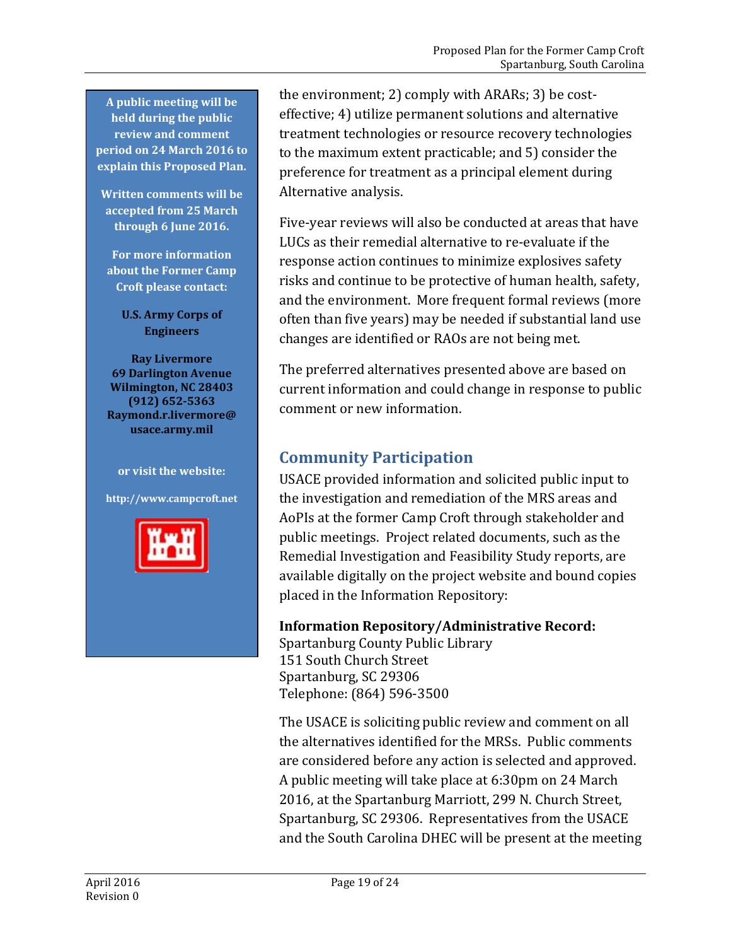**A public meeting will be held during the public review and comment period on 24 March 2016 to explain this Proposed Plan.**

**Written comments will be accepted from 25 March through 6 June 2016.**

**For more information about the Former Camp Croft please contact:**

**U.S. Army Corps of Engineers**

**Ray Livermore 69 Darlington Avenue Wilmington, NC 28403 (912) 652-5363 Raymond.r.livermore@ usace.army.mil**

**or visit the website: http://www.campcroft.net**



the environment; 2) comply with ARARs; 3) be costeffective; 4) utilize permanent solutions and alternative treatment technologies or resource recovery technologies to the maximum extent practicable; and 5) consider the preference for treatment as a principal element during Alternative analysis.

Five-year reviews will also be conducted at areas that have LUCs as their remedial alternative to re-evaluate if the response action continues to minimize explosives safety risks and continue to be protective of human health, safety, and the environment. More frequent formal reviews (more often than five years) may be needed if substantial land use changes are identified or RAOs are not being met.

The preferred alternatives presented above are based on current information and could change in response to public comment or new information.

## <span id="page-18-0"></span>**Community Participation**

USACE provided information and solicited public input to the investigation and remediation of the MRS areas and AoPIs at the former Camp Croft through stakeholder and public meetings. Project related documents, such as the Remedial Investigation and Feasibility Study reports, are available digitally on the project website and bound copies placed in the Information Repository:

### **Information Repository/Administrative Record:**

Spartanburg County Public Library 151 South Church Street Spartanburg, SC 29306 Telephone: (864) 596-3500

The USACE is soliciting public review and comment on all the alternatives identified for the MRSs. Public comments are considered before any action is selected and approved. A public meeting will take place at 6:30pm on 24 March 2016, at the Spartanburg Marriott, 299 N. Church Street, Spartanburg, SC 29306. Representatives from the USACE and the South Carolina DHEC will be present at the meeting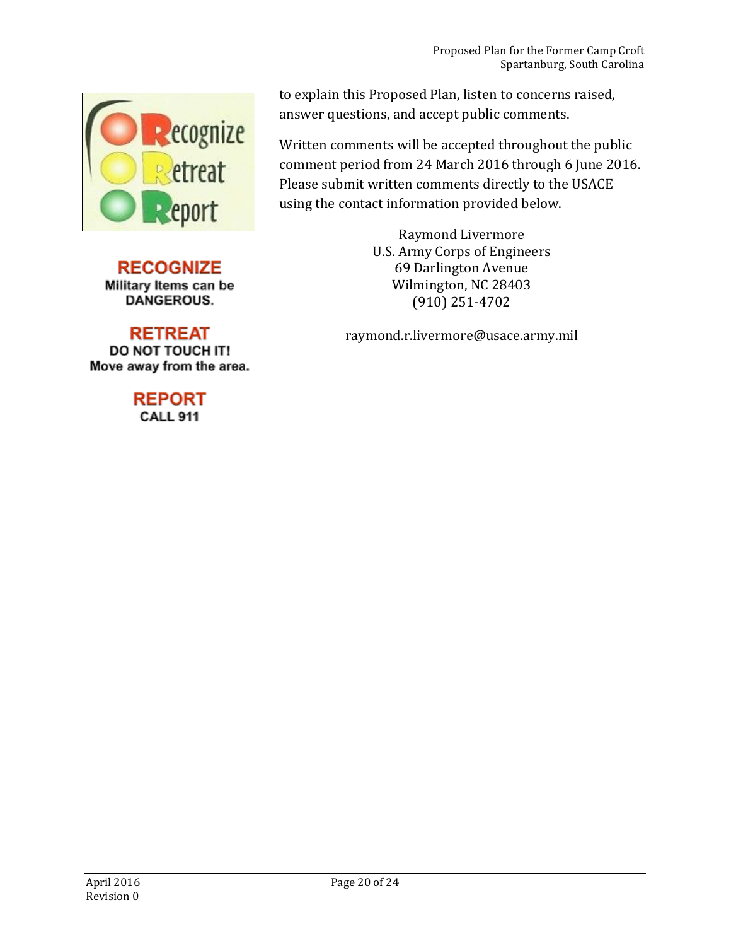

**RECOGNIZE** Military Items can be DANGEROUS.

**RETREAT** DO NOT TOUCH IT! Move away from the area.

### **REPORT CALL 911**

to explain this Proposed Plan, listen to concerns raised, answer questions, and accept public comments.

Written comments will be accepted throughout the public comment period from 24 March 2016 through 6 June 2016. Please submit written comments directly to the USACE using the contact information provided below.

> Raymond Livermore U.S. Army Corps of Engineers 69 Darlington Avenue Wilmington, NC 28403 (910) 251-4702

raymond.r.livermore@usace.army.mil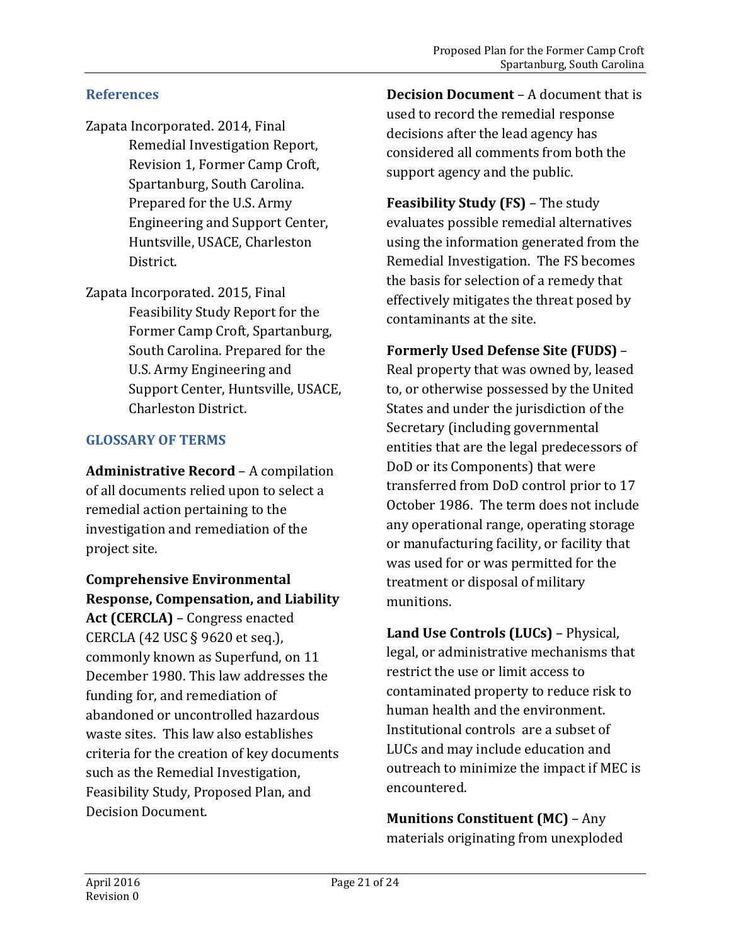### **References**

- Zapata Incorporated. 2014, Final Remedial Investigation Report, Revision 1, Former Camp Croft, Spartanburg, South Carolina. Prepared for the U.S. Army Engineering and Support Center, Huntsville, USACE, Charleston District.
- Zapata Incorporated. 2015, Final Feasibility Study Report for the Former Camp Croft, Spartanburg, South Carolina. Prepared for the U.S. Army Engineering and Support Center, Huntsville, USACE, Charleston District.

#### **GLOSSARY OF TERMS**

**Administrative Record** – A compilation of all documents relied upon to select a remedial action pertaining to the investigation and remediation of the project site.

**Comprehensive Environmental Response, Compensation, and Liability Act (CERCLA)** – Congress enacted CERCLA (42 USC § 9620 et seq.), commonly known as Superfund, on 11 December 1980. This law addresses the funding for, and remediation of abandoned or uncontrolled hazardous waste sites. This law also establishes criteria for the creation of key documents such as the Remedial Investigation, Feasibility Study, Proposed Plan, and Decision Document.

**Decision Document** – A document that is used to record the remedial response decisions after the lead agency has considered all comments from both the support agency and the public.

**Feasibility Study (FS)** – The study evaluates possible remedial alternatives using the information generated from the Remedial Investigation. The FS becomes the basis for selection of a remedy that effectively mitigates the threat posed by contaminants at the site.

### **Formerly Used Defense Site (FUDS)** –

Real property that was owned by, leased to, or otherwise possessed by the United States and under the jurisdiction of the Secretary (including governmental entities that are the legal predecessors of DoD or its Components) that were transferred from DoD control prior to 17 October 1986. The term does not include any operational range, operating storage or manufacturing facility, or facility that was used for or was permitted for the treatment or disposal of military munitions.

**Land Use Controls (LUCs)** – Physical, legal, or administrative mechanisms that restrict the use or limit access to contaminated property to reduce risk to human health and the environment. Institutional controls are a subset of LUCs and may include education and outreach to minimize the impact if MEC is encountered.

**Munitions Constituent (MC)** – Any materials originating from unexploded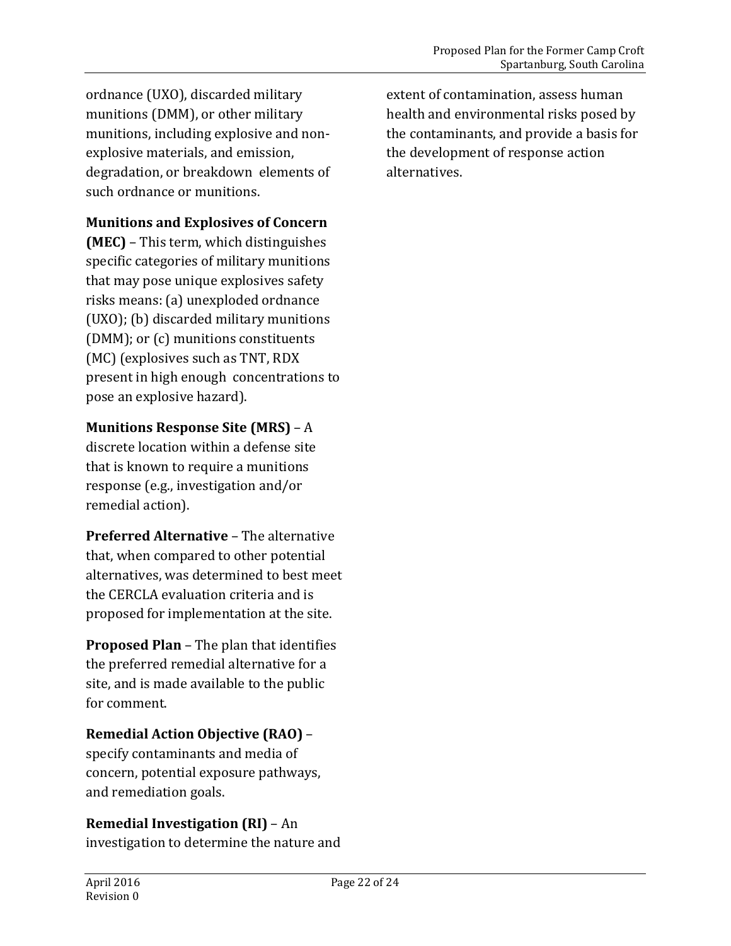ordnance (UXO), discarded military munitions (DMM), or other military munitions, including explosive and nonexplosive materials, and emission, degradation, or breakdown elements of such ordnance or munitions.

### **Munitions and Explosives of Concern**

**(MEC)** – This term, which distinguishes specific categories of military munitions that may pose unique explosives safety risks means: (a) unexploded ordnance (UXO); (b) discarded military munitions (DMM); or (c) munitions constituents (MC) (explosives such as TNT, RDX present in high enough concentrations to pose an explosive hazard).

### **Munitions Response Site (MRS)** – A

discrete location within a defense site that is known to require a munitions response (e.g., investigation and/or remedial action).

**Preferred Alternative** – The alternative that, when compared to other potential alternatives, was determined to best meet the CERCLA evaluation criteria and is proposed for implementation at the site.

**Proposed Plan** – The plan that identifies the preferred remedial alternative for a site, and is made available to the public for comment.

### **Remedial Action Objective (RAO)** –

specify contaminants and media of concern, potential exposure pathways, and remediation goals.

### **Remedial Investigation (RI)** – An

investigation to determine the nature and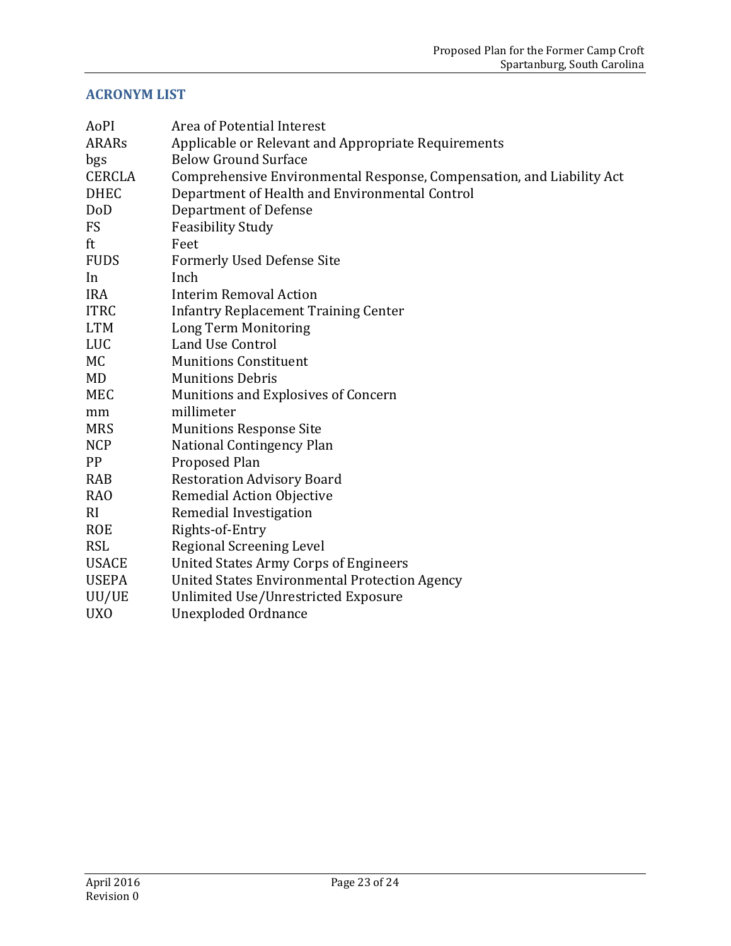## **ACRONYM LIST**

| AoPI            | Area of Potential Interest                                            |
|-----------------|-----------------------------------------------------------------------|
| <b>ARARs</b>    | Applicable or Relevant and Appropriate Requirements                   |
| bgs             | <b>Below Ground Surface</b>                                           |
| <b>CERCLA</b>   | Comprehensive Environmental Response, Compensation, and Liability Act |
| <b>DHEC</b>     | Department of Health and Environmental Control                        |
| DoD             | <b>Department of Defense</b>                                          |
| <b>FS</b>       | <b>Feasibility Study</b>                                              |
| ft              | Feet                                                                  |
| <b>FUDS</b>     | <b>Formerly Used Defense Site</b>                                     |
| In              | Inch                                                                  |
| <b>IRA</b>      | <b>Interim Removal Action</b>                                         |
| <b>ITRC</b>     | <b>Infantry Replacement Training Center</b>                           |
| <b>LTM</b>      | Long Term Monitoring                                                  |
| <b>LUC</b>      | Land Use Control                                                      |
| МC              | <b>Munitions Constituent</b>                                          |
| MD              | <b>Munitions Debris</b>                                               |
| <b>MEC</b>      | Munitions and Explosives of Concern                                   |
| mm              | millimeter                                                            |
| <b>MRS</b>      | <b>Munitions Response Site</b>                                        |
| <b>NCP</b>      | National Contingency Plan                                             |
| <b>PP</b>       | <b>Proposed Plan</b>                                                  |
| RAB             | <b>Restoration Advisory Board</b>                                     |
| RA <sub>O</sub> | Remedial Action Objective                                             |
| RI              | Remedial Investigation                                                |
| <b>ROE</b>      | Rights-of-Entry                                                       |
| <b>RSL</b>      | <b>Regional Screening Level</b>                                       |
| <b>USACE</b>    | <b>United States Army Corps of Engineers</b>                          |
| <b>USEPA</b>    | <b>United States Environmental Protection Agency</b>                  |
| UU/UE           | Unlimited Use/Unrestricted Exposure                                   |
| <b>UXO</b>      | Unexploded Ordnance                                                   |